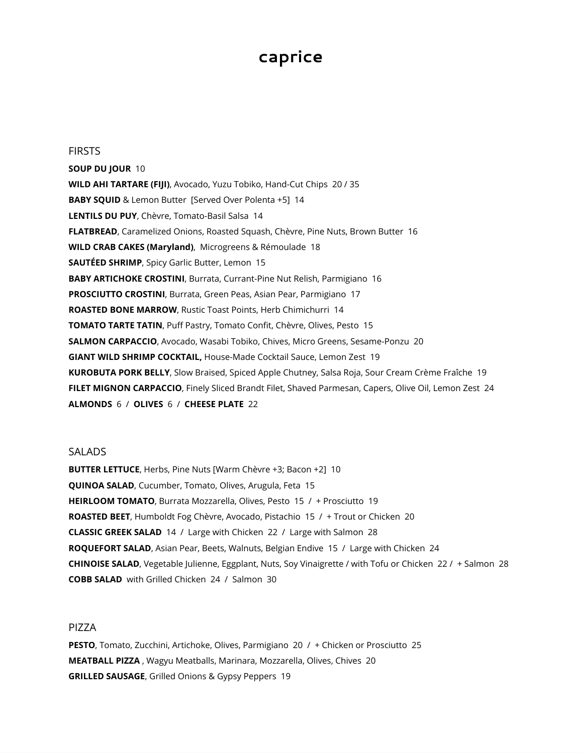# **caprice**

**FIRSTS** 

**SOUP DU JOUR** 10 **WILD AHI TARTARE (FIJI)** , Avocado, Yuzu Tobiko, Hand-Cut Chips 20 / 35 **BABY SQUID** & Lemon Butter [Served Over Polenta +5] 14 LENTILS DU PUY, Chèvre, Tomato-Basil Salsa 14 **FLATBREAD** , Caramelized Onions, Roasted Squash, Chèvre, Pine Nuts, Brown Butter 16 **WILD CRAB CAKES (Maryland)**, Microgreens & Rémoulade 18 **SAUTÉED SHRIMP, Spicy Garlic Butter, Lemon 15 BABY ARTICHOKE CROSTINI, Burrata, Currant-Pine Nut Relish, Parmigiano 16 PROSCIUTTO CROSTINI**, Burrata, Green Peas, Asian Pear, Parmigiano 17 **ROASTED BONE MARROW**, Rustic Toast Points, Herb Chimichurri 14 **TOMATO TARTE TATIN, Puff Pastry, Tomato Confit, Chèvre, Olives, Pesto 15 SALMON CARPACCIO** , Avocado, Wasabi Tobiko, Chives, Micro Greens, Sesame-Ponzu 20 **GIANT WILD SHRIMP COCKTAIL,** House-Made Cocktail Sauce, Lemon Zest 19 **KUROBUTA PORK BELLY** , Slow Braised, Spiced Apple Chutney, Salsa Roja, Sour Cream Crème Fraîche 19 FILET MIGNON CARPACCIO, Finely Sliced Brandt Filet, Shaved Parmesan, Capers, Olive Oil, Lemon Zest 24 **ALMONDS** 6 / **OLIVES** 6 / **CHEESE PLATE** 22

## **SALADS**

**BUTTER LETTUCE**, Herbs, Pine Nuts [Warm Chèvre +3; Bacon +2] 10 **QUINOA SALAD**, Cucumber, Tomato, Olives, Arugula, Feta 15 **HEIRLOOM TOMATO**, Burrata Mozzarella, Olives, Pesto 15 / + Prosciutto 19 **ROASTED BEET**, Humboldt Fog Chèvre, Avocado, Pistachio 15 / + Trout or Chicken 20 **CLASSIC GREEK SALAD** 14 / Large with Chicken 22 / Large with Salmon 28 **ROQUEFORT SALAD**, Asian Pear, Beets, Walnuts, Belgian Endive 15 / Large with Chicken 24 **CHINOISE SALAD** , Vegetable Julienne, Eggplant, Nuts, Soy Vinaigrette / with Tofu or Chicken 22 / + Salmon 28 **COBB SALAD** with Grilled Chicken 24 / Salmon 30

# PIZZA

**PESTO** , Tomato, Zucchini, Artichoke, Olives, Parmigiano 20 / + Chicken or Prosciutto 25 **MEATBALL PIZZA** , Wagyu Meatballs, Marinara, Mozzarella, Olives, Chives 20 **GRILLED SAUSAGE**, Grilled Onions & Gypsy Peppers 19